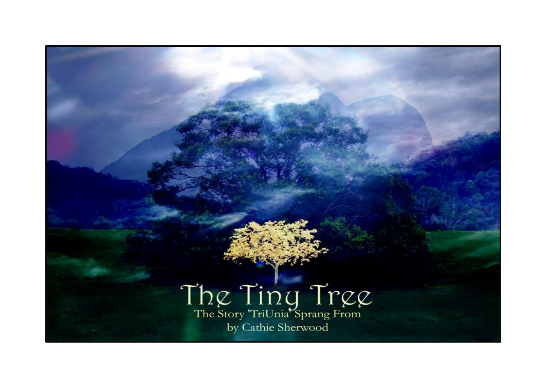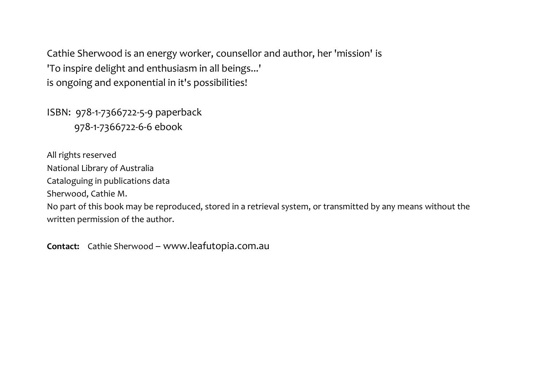Cathie Sherwood is an energy worker, counsellor and author, her 'mission' is 'To inspire delight and enthusiasm in all beings...' is ongoing and exponential in it's possibilities!

ISBN: 978-1-7366722-5-9 paperback 978-1-7366722-6-6 ebook

All rights reserved National Library of Australia Cataloguing in publications data Sherwood, Cathie M.

No part of this book may be reproduced, stored in a retrieval system, or transmitted by any means without the written permission of the author.

**Contact:** Cathie Sherwood – www.leafutopia.com.au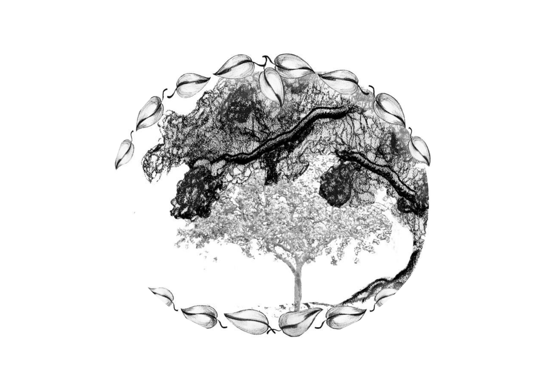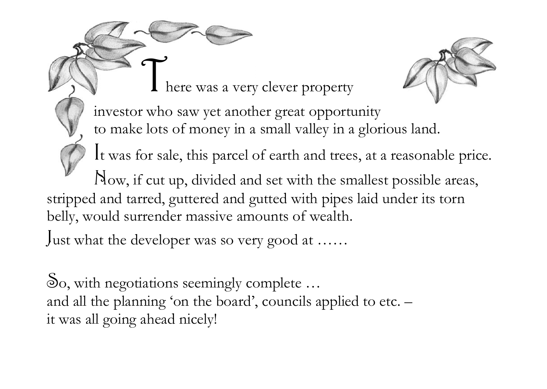here was a very clever property



investor who saw yet another great opportunity to make lots of money in a small valley in a glorious land.

It was for sale, this parcel of earth and trees, at a reasonable price.

Now, if cut up, divided and set with the smallest possible areas, stripped and tarred, guttered and gutted with pipes laid under its torn belly, would surrender massive amounts of wealth.

Just what the developer was so very good at ……

So, with negotiations seemingly complete … and all the planning 'on the board', councils applied to etc. – it was all going ahead nicely!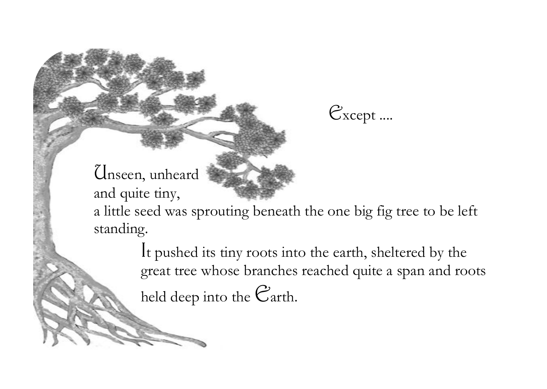$\mathcal{C}$ xcept ....

Unseen, unheard and quite tiny,

a little seed was sprouting beneath the one big fig tree to be left standing.

> It pushed its tiny roots into the earth, sheltered by the great tree whose branches reached quite a span and roots held deep into the  $\mathcal{C}_{\text{arth.}}$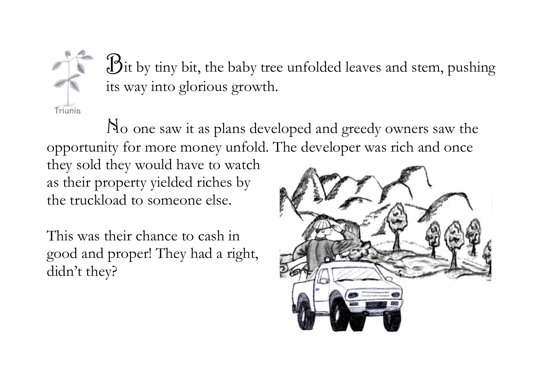Bit by tiny bit, the baby tree unfolded leaves and stem, pushing its way into glorious growth.

No one saw it as plans developed and greedy owners saw the opportunity for more money unfold. The developer was rich and once

they sold they would have to watch as their property yielded riches by the truckload to someone else.

Triupia

This was their chance to cash in good and proper! They had a right, didn't they?

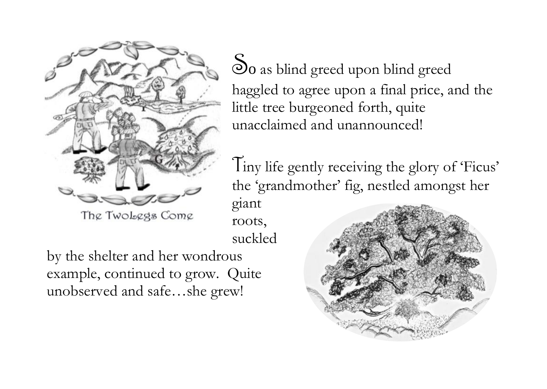

The Twologgs Come

**O** as blind greed upon blind greed haggled to agree upon a final price, and the little tree burgeoned forth, quite unacclaimed and unannounced!

Tiny life gently receiving the glory of 'Ficus' the 'grandmother' fig, nestled amongst her giant

roots. suckled

by the shelter and her wondrous example, continued to grow. Quite unobserved and safe...she grew!

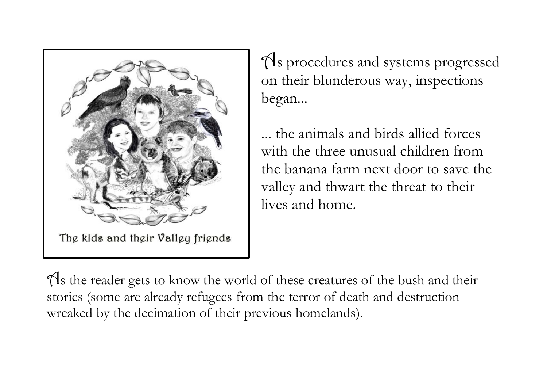

As procedures and systems progressed on their blunderous way, inspections began...

... the animals and birds allied forces with the three unusual children from the banana farm next door to save the valley and thwart the threat to their lives and home.

As the reader gets to know the world of these creatures of the bush and their stories (some are already refugees from the terror of death and destruction wreaked by the decimation of their previous homelands).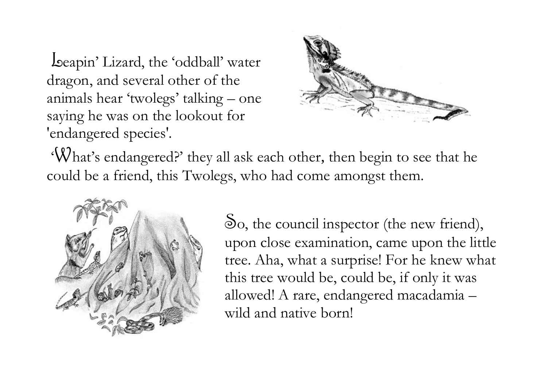Leapin' Lizard, the 'oddball' water dragon, and several other of the animals hear 'twolegs' talking – one saying he was on the lookout for 'endangered species'.



'What's endangered?' they all ask each other, then begin to see that he could be a friend, this Twolegs, who had come amongst them.



So, the council inspector (the new friend), upon close examination, came upon the little tree. Aha, what a surprise! For he knew what this tree would be, could be, if only it was allowed! A rare, endangered macadamia – wild and native born!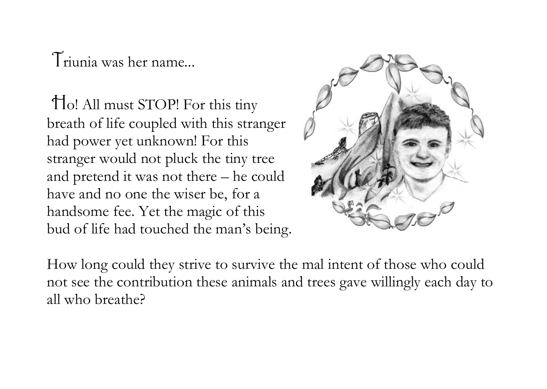Triunia was her name...

Ho! All must STOP! For this tiny breath of life coupled with this stranger had power yet unknown! For this stranger would not pluck the tiny tree and pretend it was not there – he could have and no one the wiser be, for a handsome fee. Yet the magic of this bud of life had touched the man's being.



How long could they strive to survive the mal intent of those who could not see the contribution these animals and trees gave willingly each day to all who breathe?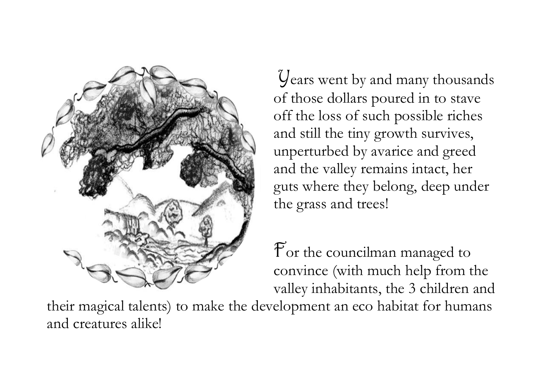

Years went by and many thousands of those dollars poured in to stave off the loss of such possible riches and still the tiny growth survives, unperturbed by avarice and greed and the valley remains intact, her guts where they belong, deep under the grass and trees!

For the councilman managed to convince (with much help from the valley inhabitants, the 3 children and

their magical talents) to make the development an eco habitat for humans and creatures alike!